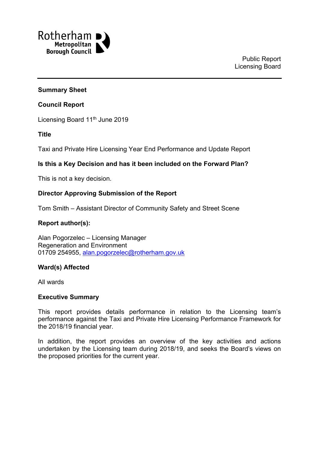

#### **Summary Sheet**

#### **Council Report**

Licensing Board 11<sup>th</sup> June 2019

**Title**

Taxi and Private Hire Licensing Year End Performance and Update Report

### **Is this a Key Decision and has it been included on the Forward Plan?**

This is not a key decision.

#### **Director Approving Submission of the Report**

Tom Smith – Assistant Director of Community Safety and Street Scene

### **Report author(s):**

Alan Pogorzelec – Licensing Manager Regeneration and Environment 01709 254955, [alan.pogorzelec@rotherham.gov.uk](mailto:alan.pogorzelec@rotherham.gov.uk)

#### **Ward(s) Affected**

All wards

#### **Executive Summary**

This report provides details performance in relation to the Licensing team's performance against the Taxi and Private Hire Licensing Performance Framework for the 2018/19 financial year.

In addition, the report provides an overview of the key activities and actions undertaken by the Licensing team during 2018/19, and seeks the Board's views on the proposed priorities for the current year.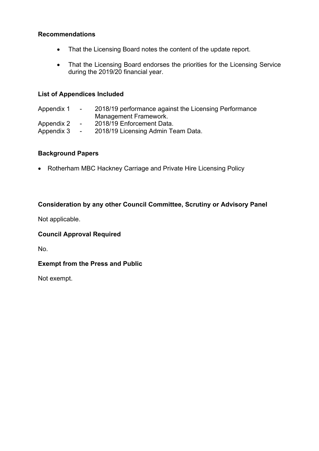## **Recommendations**

- That the Licensing Board notes the content of the update report.
- That the Licensing Board endorses the priorities for the Licensing Service during the 2019/20 financial year.

### **List of Appendices Included**

Appendix 1 - 2018/19 performance against the Licensing Performance Management Framework. Appendix 2 - 2018/19 Enforcement Data. Appendix 3 - 2018/19 Licensing Admin Team Data.

## **Background Papers**

• Rotherham MBC Hackney Carriage and Private Hire Licensing Policy

# **Consideration by any other Council Committee, Scrutiny or Advisory Panel**

Not applicable.

## **Council Approval Required**

No.

# **Exempt from the Press and Public**

Not exempt.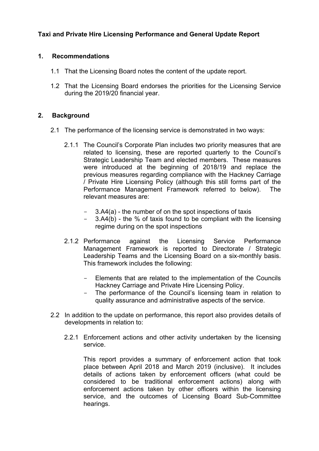# **Taxi and Private Hire Licensing Performance and General Update Report**

### **1. Recommendations**

- 1.1 That the Licensing Board notes the content of the update report.
- 1.2 That the Licensing Board endorses the priorities for the Licensing Service during the 2019/20 financial year.

#### **2. Background**

- 2.1 The performance of the licensing service is demonstrated in two ways:
	- 2.1.1 The Council's Corporate Plan includes two priority measures that are related to licensing, these are reported quarterly to the Council's Strategic Leadership Team and elected members. These measures were introduced at the beginning of 2018/19 and replace the previous measures regarding compliance with the Hackney Carriage / Private Hire Licensing Policy (although this still forms part of the Performance Management Framework referred to below). The relevant measures are:
		- 3.A4(a) the number of on the spot inspections of taxis
		- $3.A4(b)$  the % of taxis found to be compliant with the licensing regime during on the spot inspections
	- 2.1.2 Performance against the Licensing Service Performance Management Framework is reported to Directorate / Strategic Leadership Teams and the Licensing Board on a six-monthly basis. This framework includes the following:
		- Elements that are related to the implementation of the Councils Hackney Carriage and Private Hire Licensing Policy.
		- The performance of the Council's licensing team in relation to quality assurance and administrative aspects of the service.
- 2.2 In addition to the update on performance, this report also provides details of developments in relation to:
	- 2.2.1 Enforcement actions and other activity undertaken by the licensing service.

This report provides a summary of enforcement action that took place between April 2018 and March 2019 (inclusive). It includes details of actions taken by enforcement officers (what could be considered to be traditional enforcement actions) along with enforcement actions taken by other officers within the licensing service, and the outcomes of Licensing Board Sub-Committee hearings.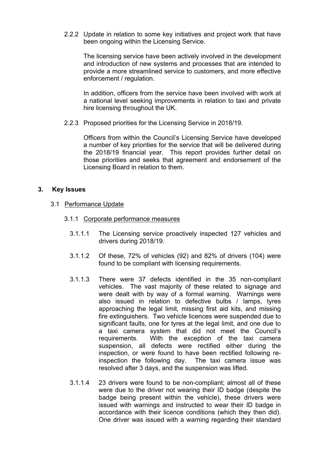2.2.2 Update in relation to some key initiatives and project work that have been ongoing within the Licensing Service.

The licensing service have been actively involved in the development and introduction of new systems and processes that are intended to provide a more streamlined service to customers, and more effective enforcement / regulation.

In addition, officers from the service have been involved with work at a national level seeking improvements in relation to taxi and private hire licensing throughout the UK.

2.2.3 Proposed priorities for the Licensing Service in 2018/19.

Officers from within the Council's Licensing Service have developed a number of key priorities for the service that will be delivered during the 2018/19 financial year. This report provides further detail on those priorities and seeks that agreement and endorsement of the Licensing Board in relation to them.

### **3. Key Issues**

- 3.1 Performance Update
	- 3.1.1 Corporate performance measures
		- 3.1.1.1 The Licensing service proactively inspected 127 vehicles and drivers during 2018/19.
		- 3.1.1.2 Of these, 72% of vehicles (92) and 82% of drivers (104) were found to be compliant with licensing requirements.
		- 3.1.1.3 There were 37 defects identified in the 35 non-compliant vehicles. The vast majority of these related to signage and were dealt with by way of a formal warning. Warnings were also issued in relation to defective bulbs / lamps, tyres approaching the legal limit, missing first aid kits, and missing fire extinguishers. Two vehicle licences were suspended due to significant faults, one for tyres at the legal limit, and one due to a taxi camera system that did not meet the Council's requirements. With the exception of the taxi camera suspension, all defects were rectified either during the inspection, or were found to have been rectified following reinspection the following day. The taxi camera issue was resolved after 3 days, and the suspension was lifted.
		- 3.1.1.4 23 drivers were found to be non-compliant; almost all of these were due to the driver not wearing their ID badge (despite the badge being present within the vehicle), these drivers were issued with warnings and instructed to wear their ID badge in accordance with their licence conditions (which they then did). One driver was issued with a warning regarding their standard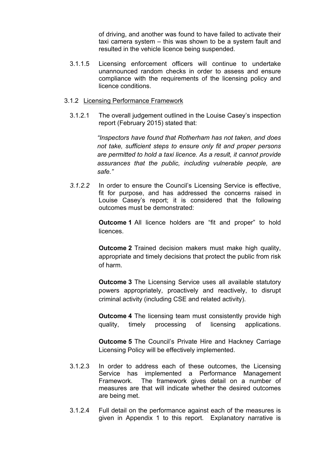of driving, and another was found to have failed to activate their taxi camera system – this was shown to be a system fault and resulted in the vehicle licence being suspended.

3.1.1.5 Licensing enforcement officers will continue to undertake unannounced random checks in order to assess and ensure compliance with the requirements of the licensing policy and licence conditions.

#### 3.1.2 Licensing Performance Framework

3.1.2.1 The overall judgement outlined in the Louise Casey's inspection report (February 2015) stated that:

> *"Inspectors have found that Rotherham has not taken, and does not take, sufficient steps to ensure only fit and proper persons are permitted to hold a taxi licence. As a result, it cannot provide assurances that the public, including vulnerable people, are safe."*

*3.1.2.2* In order to ensure the Council's Licensing Service is effective, fit for purpose, and has addressed the concerns raised in Louise Casey's report; it is considered that the following outcomes must be demonstrated:

> **Outcome 1** All licence holders are "fit and proper" to hold licences.

> **Outcome 2** Trained decision makers must make high quality, appropriate and timely decisions that protect the public from risk of harm.

> **Outcome 3** The Licensing Service uses all available statutory powers appropriately, proactively and reactively, to disrupt criminal activity (including CSE and related activity).

> **Outcome 4** The licensing team must consistently provide high quality, timely processing of licensing applications.

> **Outcome 5** The Council's Private Hire and Hackney Carriage Licensing Policy will be effectively implemented.

- 3.1.2.3 In order to address each of these outcomes, the Licensing Service has implemented a Performance Management Framework. The framework gives detail on a number of measures are that will indicate whether the desired outcomes are being met.
- 3.1.2.4 Full detail on the performance against each of the measures is given in Appendix 1 to this report. Explanatory narrative is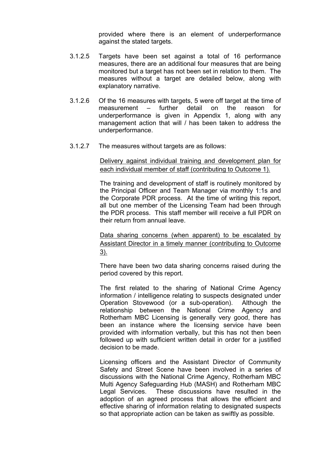provided where there is an element of underperformance against the stated targets.

- 3.1.2.5 Targets have been set against a total of 16 performance measures, there are an additional four measures that are being monitored but a target has not been set in relation to them. The measures without a target are detailed below, along with explanatory narrative.
- 3.1.2.6 Of the 16 measures with targets, 5 were off target at the time of measurement – further detail on the reason for underperformance is given in Appendix 1, along with any management action that will / has been taken to address the underperformance.
- 3.1.2.7 The measures without targets are as follows:

Delivery against individual training and development plan for each individual member of staff (contributing to Outcome 1).

The training and development of staff is routinely monitored by the Principal Officer and Team Manager via monthly 1:1s and the Corporate PDR process. At the time of writing this report, all but one member of the Licensing Team had been through the PDR process. This staff member will receive a full PDR on their return from annual leave.

Data sharing concerns (when apparent) to be escalated by Assistant Director in a timely manner (contributing to Outcome 3).

There have been two data sharing concerns raised during the period covered by this report.

The first related to the sharing of National Crime Agency information / intelligence relating to suspects designated under Operation Stovewood (or a sub-operation). Although the relationship between the National Crime Agency and Rotherham MBC Licensing is generally very good, there has been an instance where the licensing service have been provided with information verbally, but this has not then been followed up with sufficient written detail in order for a justified decision to be made.

Licensing officers and the Assistant Director of Community Safety and Street Scene have been involved in a series of discussions with the National Crime Agency, Rotherham MBC Multi Agency Safeguarding Hub (MASH) and Rotherham MBC Legal Services. These discussions have resulted in the adoption of an agreed process that allows the efficient and effective sharing of information relating to designated suspects so that appropriate action can be taken as swiftly as possible.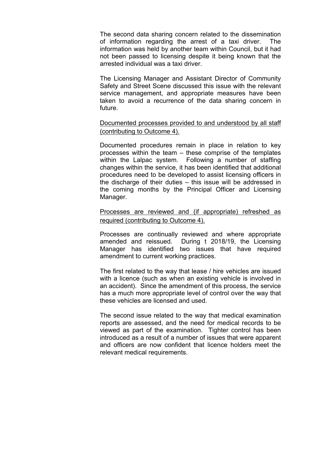The second data sharing concern related to the dissemination of information regarding the arrest of a taxi driver. The information was held by another team within Council, but it had not been passed to licensing despite it being known that the arrested individual was a taxi driver.

The Licensing Manager and Assistant Director of Community Safety and Street Scene discussed this issue with the relevant service management, and appropriate measures have been taken to avoid a recurrence of the data sharing concern in future.

Documented processes provided to and understood by all staff (contributing to Outcome 4).

Documented procedures remain in place in relation to key processes within the team – these comprise of the templates within the Lalpac system. Following a number of staffing changes within the service, it has been identified that additional procedures need to be developed to assist licensing officers in the discharge of their duties – this issue will be addressed in the coming months by the Principal Officer and Licensing Manager.

Processes are reviewed and (if appropriate) refreshed as required (contributing to Outcome 4).

Processes are continually reviewed and where appropriate amended and reissued. During t 2018/19, the Licensing Manager has identified two issues that have required amendment to current working practices.

The first related to the way that lease / hire vehicles are issued with a licence (such as when an existing vehicle is involved in an accident). Since the amendment of this process, the service has a much more appropriate level of control over the way that these vehicles are licensed and used.

The second issue related to the way that medical examination reports are assessed, and the need for medical records to be viewed as part of the examination. Tighter control has been introduced as a result of a number of issues that were apparent and officers are now confident that licence holders meet the relevant medical requirements.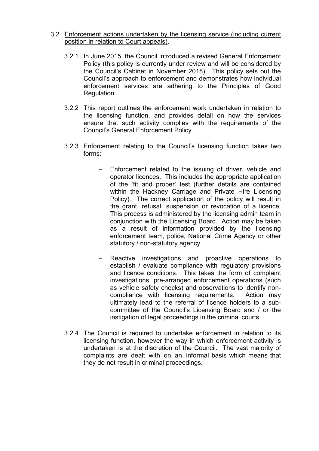#### 3.2 Enforcement actions undertaken by the licensing service (including current position in relation to Court appeals).

- 3.2.1 In June 2015, the Council introduced a revised General Enforcement Policy (this policy is currently under review and will be considered by the Council's Cabinet in November 2018). This policy sets out the Council's approach to enforcement and demonstrates how individual enforcement services are adhering to the Principles of Good Regulation.
- 3.2.2 This report outlines the enforcement work undertaken in relation to the licensing function, and provides detail on how the services ensure that such activity complies with the requirements of the Council's General Enforcement Policy.
- 3.2.3 Enforcement relating to the Council's licensing function takes two forms:
	- Enforcement related to the issuing of driver, vehicle and operator licences. This includes the appropriate application of the 'fit and proper' test (further details are contained within the Hackney Carriage and Private Hire Licensing Policy). The correct application of the policy will result in the grant, refusal, suspension or revocation of a licence. This process is administered by the licensing admin team in conjunction with the Licensing Board. Action may be taken as a result of information provided by the licensing enforcement team, police, National Crime Agency or other statutory / non-statutory agency.
	- Reactive investigations and proactive operations to establish / evaluate compliance with regulatory provisions and licence conditions. This takes the form of complaint investigations, pre-arranged enforcement operations (such as vehicle safety checks) and observations to identify noncompliance with licensing requirements. Action may ultimately lead to the referral of licence holders to a subcommittee of the Council's Licensing Board and / or the instigation of legal proceedings in the criminal courts.
- 3.2.4 The Council is required to undertake enforcement in relation to its licensing function, however the way in which enforcement activity is undertaken is at the discretion of the Council. The vast majority of complaints are dealt with on an informal basis which means that they do not result in criminal proceedings.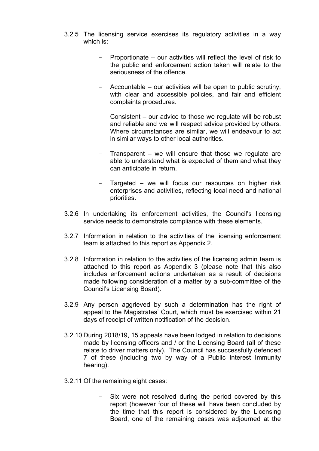- 3.2.5 The licensing service exercises its regulatory activities in a way which is:
	- Proportionate our activities will reflect the level of risk to the public and enforcement action taken will relate to the seriousness of the offence.
	- Accountable our activities will be open to public scrutiny, with clear and accessible policies, and fair and efficient complaints procedures.
	- Consistent our advice to those we regulate will be robust and reliable and we will respect advice provided by others. Where circumstances are similar, we will endeavour to act in similar ways to other local authorities.
	- Transparent we will ensure that those we regulate are able to understand what is expected of them and what they can anticipate in return.
	- Targeted we will focus our resources on higher risk enterprises and activities, reflecting local need and national priorities.
- 3.2.6 In undertaking its enforcement activities, the Council's licensing service needs to demonstrate compliance with these elements.
- 3.2.7 Information in relation to the activities of the licensing enforcement team is attached to this report as Appendix 2.
- 3.2.8 Information in relation to the activities of the licensing admin team is attached to this report as Appendix 3 (please note that this also includes enforcement actions undertaken as a result of decisions made following consideration of a matter by a sub-committee of the Council's Licensing Board).
- 3.2.9 Any person aggrieved by such a determination has the right of appeal to the Magistrates' Court, which must be exercised within 21 days of receipt of written notification of the decision.
- 3.2.10 During 2018/19, 15 appeals have been lodged in relation to decisions made by licensing officers and / or the Licensing Board (all of these relate to driver matters only). The Council has successfully defended 7 of these (including two by way of a Public Interest Immunity hearing).
- 3.2.11 Of the remaining eight cases:
	- Six were not resolved during the period covered by this report (however four of these will have been concluded by the time that this report is considered by the Licensing Board, one of the remaining cases was adjourned at the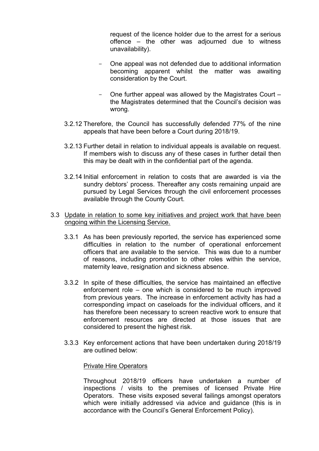request of the licence holder due to the arrest for a serious offence – the other was adjourned due to witness unavailability).

- One appeal was not defended due to additional information becoming apparent whilst the matter was awaiting consideration by the Court.
- One further appeal was allowed by the Magistrates Court the Magistrates determined that the Council's decision was wrong.
- 3.2.12 Therefore, the Council has successfully defended 77% of the nine appeals that have been before a Court during 2018/19.
- 3.2.13 Further detail in relation to individual appeals is available on request. If members wish to discuss any of these cases in further detail then this may be dealt with in the confidential part of the agenda.
- 3.2.14 Initial enforcement in relation to costs that are awarded is via the sundry debtors' process. Thereafter any costs remaining unpaid are pursued by Legal Services through the civil enforcement processes available through the County Court.
- 3.3 Update in relation to some key initiatives and project work that have been ongoing within the Licensing Service.
	- 3.3.1 As has been previously reported, the service has experienced some difficulties in relation to the number of operational enforcement officers that are available to the service. This was due to a number of reasons, including promotion to other roles within the service, maternity leave, resignation and sickness absence.
	- 3.3.2 In spite of these difficulties, the service has maintained an effective enforcement role – one which is considered to be much improved from previous years. The increase in enforcement activity has had a corresponding impact on caseloads for the individual officers, and it has therefore been necessary to screen reactive work to ensure that enforcement resources are directed at those issues that are considered to present the highest risk.
	- 3.3.3 Key enforcement actions that have been undertaken during 2018/19 are outlined below:

#### Private Hire Operators

Throughout 2018/19 officers have undertaken a number of inspections / visits to the premises of licensed Private Hire Operators. These visits exposed several failings amongst operators which were initially addressed via advice and guidance (this is in accordance with the Council's General Enforcement Policy).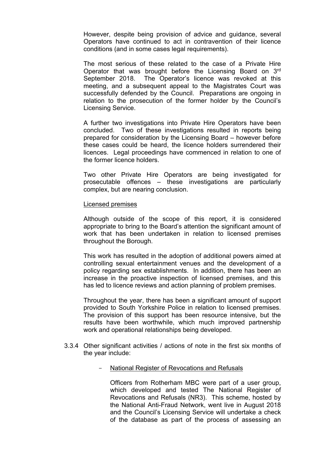However, despite being provision of advice and guidance, several Operators have continued to act in contravention of their licence conditions (and in some cases legal requirements).

The most serious of these related to the case of a Private Hire Operator that was brought before the Licensing Board on 3rd September 2018. The Operator's licence was revoked at this meeting, and a subsequent appeal to the Magistrates Court was successfully defended by the Council. Preparations are ongoing in relation to the prosecution of the former holder by the Council's Licensing Service.

A further two investigations into Private Hire Operators have been concluded. Two of these investigations resulted in reports being prepared for consideration by the Licensing Board – however before these cases could be heard, the licence holders surrendered their licences. Legal proceedings have commenced in relation to one of the former licence holders.

Two other Private Hire Operators are being investigated for prosecutable offences – these investigations are particularly complex, but are nearing conclusion.

#### Licensed premises

Although outside of the scope of this report, it is considered appropriate to bring to the Board's attention the significant amount of work that has been undertaken in relation to licensed premises throughout the Borough.

This work has resulted in the adoption of additional powers aimed at controlling sexual entertainment venues and the development of a policy regarding sex establishments. In addition, there has been an increase in the proactive inspection of licensed premises, and this has led to licence reviews and action planning of problem premises.

Throughout the year, there has been a significant amount of support provided to South Yorkshire Police in relation to licensed premises. The provision of this support has been resource intensive, but the results have been worthwhile, which much improved partnership work and operational relationships being developed.

- 3.3.4 Other significant activities / actions of note in the first six months of the year include:
	- National Register of Revocations and Refusals

Officers from Rotherham MBC were part of a user group, which developed and tested The National Register of Revocations and Refusals (NR3). This scheme, hosted by the National Anti-Fraud Network, went live in August 2018 and the Council's Licensing Service will undertake a check of the database as part of the process of assessing an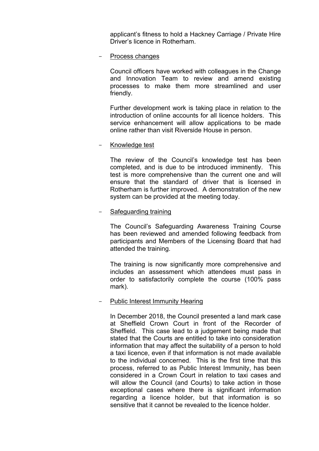applicant's fitness to hold a Hackney Carriage / Private Hire Driver's licence in Rotherham.

Process changes

Council officers have worked with colleagues in the Change and Innovation Team to review and amend existing processes to make them more streamlined and user friendly.

Further development work is taking place in relation to the introduction of online accounts for all licence holders. This service enhancement will allow applications to be made online rather than visit Riverside House in person.

### Knowledge test

The review of the Council's knowledge test has been completed, and is due to be introduced imminently. This test is more comprehensive than the current one and will ensure that the standard of driver that is licensed in Rotherham is further improved. A demonstration of the new system can be provided at the meeting today.

### Safeguarding training

The Council's Safeguarding Awareness Training Course has been reviewed and amended following feedback from participants and Members of the Licensing Board that had attended the training.

The training is now significantly more comprehensive and includes an assessment which attendees must pass in order to satisfactorily complete the course (100% pass mark).

### Public Interest Immunity Hearing

In December 2018, the Council presented a land mark case at Sheffield Crown Court in front of the Recorder of Sheffield. This case lead to a judgement being made that stated that the Courts are entitled to take into consideration information that may affect the suitability of a person to hold a taxi licence, even if that information is not made available to the individual concerned. This is the first time that this process, referred to as Public Interest Immunity, has been considered in a Crown Court in relation to taxi cases and will allow the Council (and Courts) to take action in those exceptional cases where there is significant information regarding a licence holder, but that information is so sensitive that it cannot be revealed to the licence holder.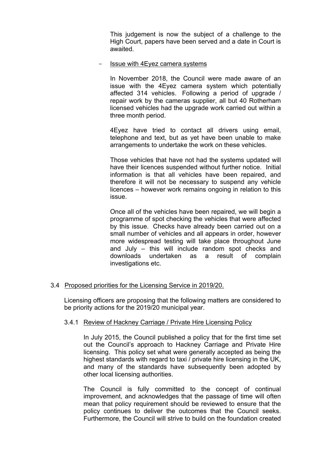This judgement is now the subject of a challenge to the High Court, papers have been served and a date in Court is awaited.

#### Issue with 4Eyez camera systems

In November 2018, the Council were made aware of an issue with the 4Eyez camera system which potentially affected 314 vehicles. Following a period of upgrade / repair work by the cameras supplier, all but 40 Rotherham licensed vehicles had the upgrade work carried out within a three month period.

4Eyez have tried to contact all drivers using email, telephone and text, but as yet have been unable to make arrangements to undertake the work on these vehicles.

Those vehicles that have not had the systems updated will have their licences suspended without further notice. Initial information is that all vehicles have been repaired, and therefore it will not be necessary to suspend any vehicle licences – however work remains ongoing in relation to this issue.

Once all of the vehicles have been repaired, we will begin a programme of spot checking the vehicles that were affected by this issue. Checks have already been carried out on a small number of vehicles and all appears in order, however more widespread testing will take place throughout June and July – this will include random spot checks and downloads undertaken as a result of complain investigations etc.

### 3.4 Proposed priorities for the Licensing Service in 2019/20.

Licensing officers are proposing that the following matters are considered to be priority actions for the 2019/20 municipal year.

#### 3.4.1 Review of Hackney Carriage / Private Hire Licensing Policy

In July 2015, the Council published a policy that for the first time set out the Council's approach to Hackney Carriage and Private Hire licensing. This policy set what were generally accepted as being the highest standards with regard to taxi / private hire licensing in the UK, and many of the standards have subsequently been adopted by other local licensing authorities.

The Council is fully committed to the concept of continual improvement, and acknowledges that the passage of time will often mean that policy requirement should be reviewed to ensure that the policy continues to deliver the outcomes that the Council seeks. Furthermore, the Council will strive to build on the foundation created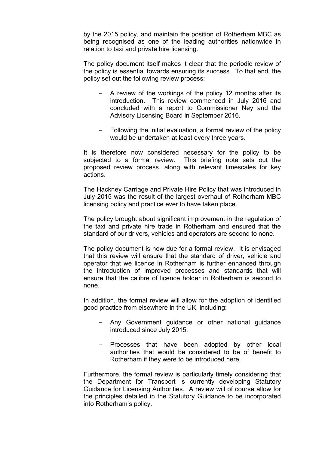by the 2015 policy, and maintain the position of Rotherham MBC as being recognised as one of the leading authorities nationwide in relation to taxi and private hire licensing.

The policy document itself makes it clear that the periodic review of the policy is essential towards ensuring its success. To that end, the policy set out the following review process:

- A review of the workings of the policy 12 months after its introduction. This review commenced in July 2016 and concluded with a report to Commissioner Ney and the Advisory Licensing Board in September 2016.
- Following the initial evaluation, a formal review of the policy would be undertaken at least every three years.

It is therefore now considered necessary for the policy to be subjected to a formal review. This briefing note sets out the proposed review process, along with relevant timescales for key actions.

The Hackney Carriage and Private Hire Policy that was introduced in July 2015 was the result of the largest overhaul of Rotherham MBC licensing policy and practice ever to have taken place.

The policy brought about significant improvement in the regulation of the taxi and private hire trade in Rotherham and ensured that the standard of our drivers, vehicles and operators are second to none.

The policy document is now due for a formal review. It is envisaged that this review will ensure that the standard of driver, vehicle and operator that we licence in Rotherham is further enhanced through the introduction of improved processes and standards that will ensure that the calibre of licence holder in Rotherham is second to none.

In addition, the formal review will allow for the adoption of identified good practice from elsewhere in the UK, including:

- Any Government guidance or other national guidance introduced since July 2015,
- Processes that have been adopted by other local authorities that would be considered to be of benefit to Rotherham if they were to be introduced here.

Furthermore, the formal review is particularly timely considering that the Department for Transport is currently developing Statutory Guidance for Licensing Authorities. A review will of course allow for the principles detailed in the Statutory Guidance to be incorporated into Rotherham's policy.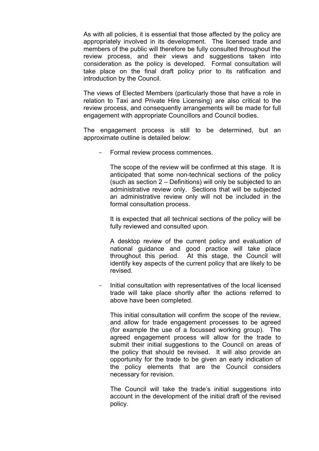As with all policies, it is essential that those affected by the policy are appropriately involved in its development. The licensed trade and members of the public will therefore be fully consulted throughout the review process, and their views and suggestions taken into consideration as the policy is developed. Formal consultation will take place on the final draft policy prior to its ratification and introduction by the Council.

The views of Elected Members (particularly those that have a role in relation to Taxi and Private Hire Licensing) are also critical to the review process, and consequently arrangements will be made for full engagement with appropriate Councillors and Council bodies.

The engagement process is still to be determined, but an approximate outline is detailed below:

Formal review process commences.

The scope of the review will be confirmed at this stage. It is anticipated that some non-technical sections of the policy (such as section 2 – Definitions) will only be subjected to an administrative review only. Sections that will be subjected an administrative review only will not be included in the formal consultation process.

It is expected that all technical sections of the policy will be fully reviewed and consulted upon.

A desktop review of the current policy and evaluation of national guidance and good practice will take place throughout this period. At this stage, the Council will identify key aspects of the current policy that are likely to be revised.

- Initial consultation with representatives of the local licensed trade will take place shortly after the actions referred to above have been completed.

This initial consultation will confirm the scope of the review, and allow for trade engagement processes to be agreed (for example the use of a focussed working group). The agreed engagement process will allow for the trade to submit their initial suggestions to the Council on areas of the policy that should be revised. It will also provide an opportunity for the trade to be given an early indication of the policy elements that are the Council considers necessary for revision.

The Council will take the trade's initial suggestions into account in the development of the initial draft of the revised policy.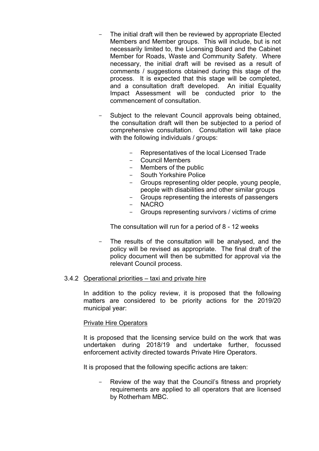- The initial draft will then be reviewed by appropriate Elected Members and Member groups. This will include, but is not necessarily limited to, the Licensing Board and the Cabinet Member for Roads, Waste and Community Safety. Where necessary, the initial draft will be revised as a result of comments / suggestions obtained during this stage of the process. It is expected that this stage will be completed, and a consultation draft developed. An initial Equality Impact Assessment will be conducted prior to the commencement of consultation.
- Subject to the relevant Council approvals being obtained, the consultation draft will then be subjected to a period of comprehensive consultation. Consultation will take place with the following individuals / groups:
	- Representatives of the local Licensed Trade
	- Council Members
	- Members of the public
	- South Yorkshire Police
	- Groups representing older people, young people, people with disabilities and other similar groups
	- Groups representing the interests of passengers
	- NACRO
	- Groups representing survivors / victims of crime

The consultation will run for a period of 8 - 12 weeks

- The results of the consultation will be analysed, and the policy will be revised as appropriate. The final draft of the policy document will then be submitted for approval via the relevant Council process.

### 3.4.2 Operational priorities – taxi and private hire

In addition to the policy review, it is proposed that the following matters are considered to be priority actions for the 2019/20 municipal year:

#### Private Hire Operators

It is proposed that the licensing service build on the work that was undertaken during 2018/19 and undertake further, focussed enforcement activity directed towards Private Hire Operators.

It is proposed that the following specific actions are taken:

Review of the way that the Council's fitness and propriety requirements are applied to all operators that are licensed by Rotherham MBC.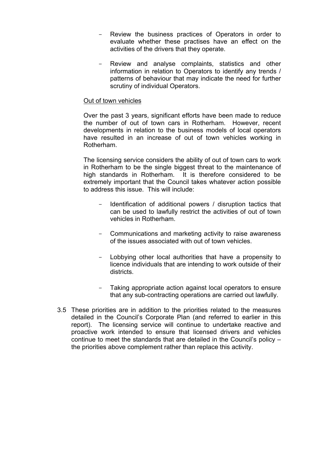- Review the business practices of Operators in order to evaluate whether these practises have an effect on the activities of the drivers that they operate.
- Review and analyse complaints, statistics and other information in relation to Operators to identify any trends / patterns of behaviour that may indicate the need for further scrutiny of individual Operators.

#### Out of town vehicles

Over the past 3 years, significant efforts have been made to reduce the number of out of town cars in Rotherham. However, recent developments in relation to the business models of local operators have resulted in an increase of out of town vehicles working in Rotherham.

The licensing service considers the ability of out of town cars to work in Rotherham to be the single biggest threat to the maintenance of high standards in Rotherham. It is therefore considered to be extremely important that the Council takes whatever action possible to address this issue. This will include:

- Identification of additional powers / disruption tactics that can be used to lawfully restrict the activities of out of town vehicles in Rotherham.
- Communications and marketing activity to raise awareness of the issues associated with out of town vehicles.
- Lobbying other local authorities that have a propensity to licence individuals that are intending to work outside of their districts.
- Taking appropriate action against local operators to ensure that any sub-contracting operations are carried out lawfully.
- 3.5 These priorities are in addition to the priorities related to the measures detailed in the Council's Corporate Plan (and referred to earlier in this report). The licensing service will continue to undertake reactive and proactive work intended to ensure that licensed drivers and vehicles continue to meet the standards that are detailed in the Council's policy – the priorities above complement rather than replace this activity.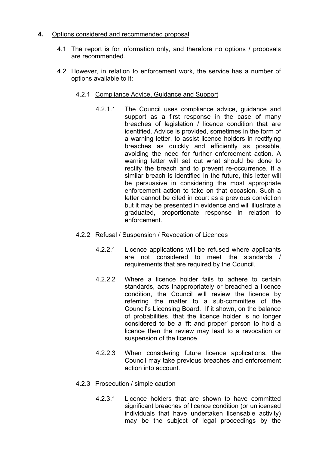## **4.** Options considered and recommended proposal

- 4.1 The report is for information only, and therefore no options / proposals are recommended.
- 4.2 However, in relation to enforcement work, the service has a number of options available to it:
	- 4.2.1 Compliance Advice, Guidance and Support
		- 4.2.1.1 The Council uses compliance advice, guidance and support as a first response in the case of many breaches of legislation / licence condition that are identified. Advice is provided, sometimes in the form of a warning letter, to assist licence holders in rectifying breaches as quickly and efficiently as possible, avoiding the need for further enforcement action. A warning letter will set out what should be done to rectify the breach and to prevent re-occurrence. If a similar breach is identified in the future, this letter will be persuasive in considering the most appropriate enforcement action to take on that occasion. Such a letter cannot be cited in court as a previous conviction but it may be presented in evidence and will illustrate a graduated, proportionate response in relation to enforcement.
	- 4.2.2 Refusal / Suspension / Revocation of Licences
		- 4.2.2.1 Licence applications will be refused where applicants are not considered to meet the standards / requirements that are required by the Council.
		- 4.2.2.2 Where a licence holder fails to adhere to certain standards, acts inappropriately or breached a licence condition, the Council will review the licence by referring the matter to a sub-committee of the Council's Licensing Board. If it shown, on the balance of probabilities, that the licence holder is no longer considered to be a 'fit and proper' person to hold a licence then the review may lead to a revocation or suspension of the licence.
		- 4.2.2.3 When considering future licence applications, the Council may take previous breaches and enforcement action into account.
	- 4.2.3 Prosecution / simple caution
		- 4.2.3.1 Licence holders that are shown to have committed significant breaches of licence condition (or unlicensed individuals that have undertaken licensable activity) may be the subject of legal proceedings by the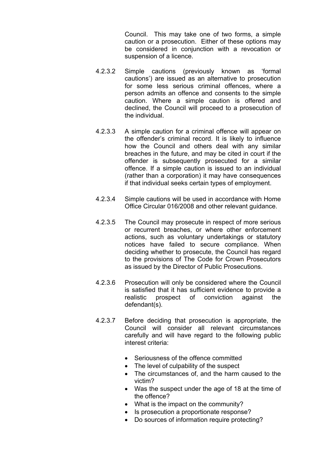Council. This may take one of two forms, a simple caution or a prosecution. Either of these options may be considered in conjunction with a revocation or suspension of a licence.

- 4.2.3.2 Simple cautions (previously known as 'formal cautions') are issued as an alternative to prosecution for some less serious criminal offences, where a person admits an offence and consents to the simple caution. Where a simple caution is offered and declined, the Council will proceed to a prosecution of the individual.
- 4.2.3.3 A simple caution for a criminal offence will appear on the offender's criminal record. It is likely to influence how the Council and others deal with any similar breaches in the future, and may be cited in court if the offender is subsequently prosecuted for a similar offence. If a simple caution is issued to an individual (rather than a corporation) it may have consequences if that individual seeks certain types of employment.
- 4.2.3.4 Simple cautions will be used in accordance with Home Office Circular 016/2008 and other relevant guidance.
- 4.2.3.5 The Council may prosecute in respect of more serious or recurrent breaches, or where other enforcement actions, such as voluntary undertakings or statutory notices have failed to secure compliance. When deciding whether to prosecute, the Council has regard to the provisions of The Code for Crown [Prosecutors](http://www.cps.gov.uk/publications/code_for_crown_prosecutors) as issued by the Director of Public Prosecutions.
- 4.2.3.6 Prosecution will only be considered where the Council is satisfied that it has sufficient evidence to provide a realistic prospect of conviction against the defendant(s).
- 4.2.3.7 Before deciding that prosecution is appropriate, the Council will consider all relevant circumstances carefully and will have regard to the following public interest criteria:
	- Seriousness of the offence committed
	- The level of culpability of the suspect
	- The circumstances of, and the harm caused to the victim?
	- Was the suspect under the age of 18 at the time of the offence?
	- What is the impact on the community?
	- Is prosecution a proportionate response?
	- Do sources of information require protecting?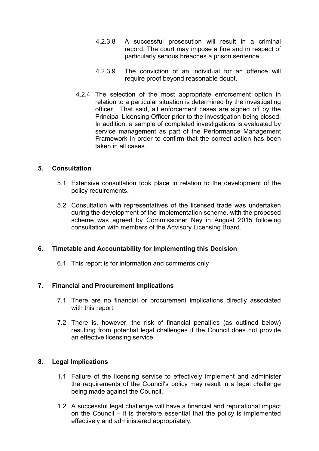- 4.2.3.8 A successful prosecution will result in a criminal record. The court may impose a fine and in respect of particularly serious breaches a prison sentence.
- 4.2.3.9 The conviction of an individual for an offence will require proof beyond reasonable doubt.
- 4.2.4 The selection of the most appropriate enforcement option in relation to a particular situation is determined by the investigating officer. That said, all enforcement cases are signed off by the Principal Licensing Officer prior to the investigation being closed. In addition, a sample of completed investigations is evaluated by service management as part of the Performance Management Framework in order to confirm that the correct action has been taken in all cases.

## **5. Consultation**

- 5.1 Extensive consultation took place in relation to the development of the policy requirements.
- 5.2 Consultation with representatives of the licensed trade was undertaken during the development of the implementation scheme, with the proposed scheme was agreed by Commissioner Ney in August 2015 following consultation with members of the Advisory Licensing Board.

### **6. Timetable and Accountability for Implementing this Decision**

6.1 This report is for information and comments only

### **7. Financial and Procurement Implications**

- 7.1 There are no financial or procurement implications directly associated with this report.
- 7.2 There is, however, the risk of financial penalties (as outlined below) resulting from potential legal challenges if the Council does not provide an effective licensing service.

### **8. Legal Implications**

- 1.1 Failure of the licensing service to effectively implement and administer the requirements of the Council's policy may result in a legal challenge being made against the Council.
- 1.2 A successful legal challenge will have a financial and reputational impact on the Council – it is therefore essential that the policy is implemented effectively and administered appropriately.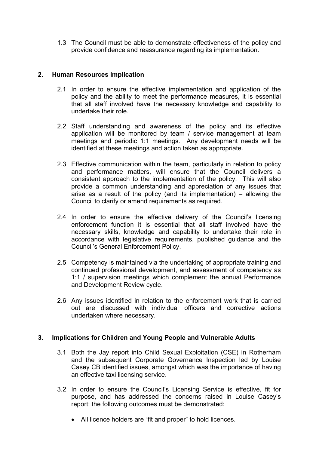1.3 The Council must be able to demonstrate effectiveness of the policy and provide confidence and reassurance regarding its implementation.

## **2. Human Resources Implication**

- 2.1 In order to ensure the effective implementation and application of the policy and the ability to meet the performance measures, it is essential that all staff involved have the necessary knowledge and capability to undertake their role.
- 2.2 Staff understanding and awareness of the policy and its effective application will be monitored by team / service management at team meetings and periodic 1:1 meetings. Any development needs will be identified at these meetings and action taken as appropriate.
- 2.3 Effective communication within the team, particularly in relation to policy and performance matters, will ensure that the Council delivers a consistent approach to the implementation of the policy. This will also provide a common understanding and appreciation of any issues that arise as a result of the policy (and its implementation) – allowing the Council to clarify or amend requirements as required.
- 2.4 In order to ensure the effective delivery of the Council's licensing enforcement function it is essential that all staff involved have the necessary skills, knowledge and capability to undertake their role in accordance with legislative requirements, published guidance and the Council's General Enforcement Policy.
- 2.5 Competency is maintained via the undertaking of appropriate training and continued professional development, and assessment of competency as 1:1 / supervision meetings which complement the annual Performance and Development Review cycle.
- 2.6 Any issues identified in relation to the enforcement work that is carried out are discussed with individual officers and corrective actions undertaken where necessary.

## **3. Implications for Children and Young People and Vulnerable Adults**

- 3.1 Both the Jay report into Child Sexual Exploitation (CSE) in Rotherham and the subsequent Corporate Governance Inspection led by Louise Casey CB identified issues, amongst which was the importance of having an effective taxi licensing service.
- 3.2 In order to ensure the Council's Licensing Service is effective, fit for purpose, and has addressed the concerns raised in Louise Casey's report; the following outcomes must be demonstrated:
	- All licence holders are "fit and proper" to hold licences.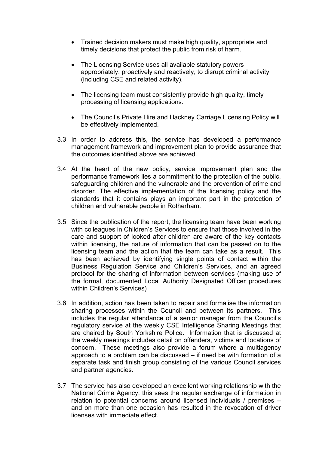- Trained decision makers must make high quality, appropriate and timely decisions that protect the public from risk of harm.
- The Licensing Service uses all available statutory powers appropriately, proactively and reactively, to disrupt criminal activity (including CSE and related activity).
- The licensing team must consistently provide high quality, timely processing of licensing applications.
- The Council's Private Hire and Hackney Carriage Licensing Policy will be effectively implemented.
- 3.3 In order to address this, the service has developed a performance management framework and improvement plan to provide assurance that the outcomes identified above are achieved.
- 3.4 At the heart of the new policy, service improvement plan and the performance framework lies a commitment to the protection of the public, safeguarding children and the vulnerable and the prevention of crime and disorder. The effective implementation of the licensing policy and the standards that it contains plays an important part in the protection of children and vulnerable people in Rotherham.
- 3.5 Since the publication of the report, the licensing team have been working with colleagues in Children's Services to ensure that those involved in the care and support of looked after children are aware of the key contacts within licensing, the nature of information that can be passed on to the licensing team and the action that the team can take as a result. This has been achieved by identifying single points of contact within the Business Regulation Service and Children's Services, and an agreed protocol for the sharing of information between services (making use of the formal, documented Local Authority Designated Officer procedures within Children's Services)
- 3.6 In addition, action has been taken to repair and formalise the information sharing processes within the Council and between its partners. This includes the regular attendance of a senior manager from the Council's regulatory service at the weekly CSE Intelligence Sharing Meetings that are chaired by South Yorkshire Police. Information that is discussed at the weekly meetings includes detail on offenders, victims and locations of concern. These meetings also provide a forum where a multiagency approach to a problem can be discussed – if need be with formation of a separate task and finish group consisting of the various Council services and partner agencies.
- 3.7 The service has also developed an excellent working relationship with the National Crime Agency, this sees the regular exchange of information in relation to potential concerns around licensed individuals / premises – and on more than one occasion has resulted in the revocation of driver licenses with immediate effect.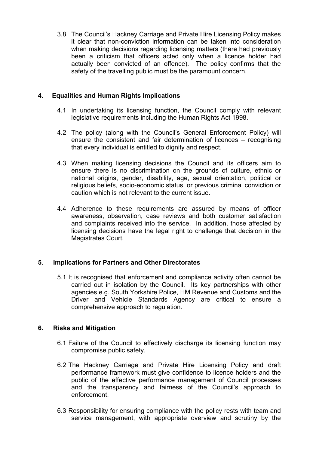3.8 The Council's Hackney Carriage and Private Hire Licensing Policy makes it clear that non-conviction information can be taken into consideration when making decisions regarding licensing matters (there had previously been a criticism that officers acted only when a licence holder had actually been convicted of an offence). The policy confirms that the safety of the travelling public must be the paramount concern.

# **4. Equalities and Human Rights Implications**

- 4.1 In undertaking its licensing function, the Council comply with relevant legislative requirements including the Human Rights Act 1998.
- 4.2 The policy (along with the Council's General Enforcement Policy) will ensure the consistent and fair determination of licences – recognising that every individual is entitled to dignity and respect.
- 4.3 When making licensing decisions the Council and its officers aim to ensure there is no discrimination on the grounds of culture, ethnic or national origins, gender, disability, age, sexual orientation, political or religious beliefs, socio-economic status, or previous criminal conviction or caution which is not relevant to the current issue.
- 4.4 Adherence to these requirements are assured by means of officer awareness, observation, case reviews and both customer satisfaction and complaints received into the service. In addition, those affected by licensing decisions have the legal right to challenge that decision in the Magistrates Court.

# **5. Implications for Partners and Other Directorates**

5.1 It is recognised that enforcement and compliance activity often cannot be carried out in isolation by the Council. Its key partnerships with other agencies e.g. South Yorkshire Police, HM Revenue and Customs and the Driver and Vehicle Standards Agency are critical to ensure a comprehensive approach to regulation.

# **6. Risks and Mitigation**

- 6.1 Failure of the Council to effectively discharge its licensing function may compromise public safety.
- 6.2 The Hackney Carriage and Private Hire Licensing Policy and draft performance framework must give confidence to licence holders and the public of the effective performance management of Council processes and the transparency and fairness of the Council's approach to enforcement.
- 6.3 Responsibility for ensuring compliance with the policy rests with team and service management, with appropriate overview and scrutiny by the